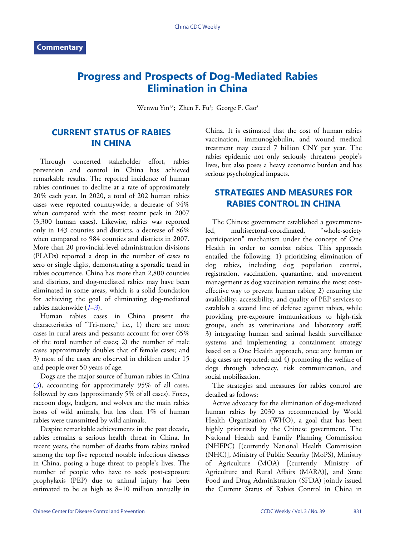# **Progress and Prospects of Dog-Mediated Rabies Elimination in China**

Wenwu Yin<sup>1,#</sup>; Zhen F. Fu<sup>2</sup>; George F. Gao<sup>3</sup>

### **CURRENT STATUS OF RABIES IN CHINA**

Through concerted stakeholder effort, rabies prevention and control in China has achieved remarkable results. The reported incidence of human rabies continues to decline at a rate of approximately 20% each year. In 2020, a total of 202 human rabies cases were reported countrywide, a decrease of 94% when compared with the most recent peak in 2007 (3,300 human cases). Likewise, rabies was reported only in 143 counties and districts, a decrease of 86% when compared to 984 counties and districts in 2007. More than 20 provincial-level administration divisions (PLADs) reported a drop in the number of cases to zero or single digits, demonstrating a sporadic trend in rabies occurrence. China has more than 2,800 counties and districts, and dog-mediated rabies may have been eliminated in some areas, which is a solid foundation for achieving the [g](#page-3-0)[oa](#page-3-1)l of eliminating dog-mediated rabies nationwide (*[1](#page-3-0)*–*[3](#page-3-1)*).

Human rabies cases in China present the characteristics of "Tri-more," i.e., 1) there are more cases in rural areas and peasants account for over 65% of the total number of cases; 2) the number of male cases approximately doubles that of female cases; and 3) most of the cases are observed in children under 15 and people over 50 years of age.

Dogs are the major source of human rabies in China (*[3](#page-3-1)*), accounting for approximately 95% of all cases, followed by cats (approximately 5% of all cases). Foxes, raccoon dogs, badgers, and wolves are the main rabies hosts of wild animals, but less than 1% of human rabies were transmitted by wild animals.

Despite remarkable achievements in the past decade, rabies remains a serious health threat in China. In recent years, the number of deaths from rabies ranked among the top five reported notable infectious diseases in China, posing a huge threat to people's lives. The number of people who have to seek post-exposure prophylaxis (PEP) due to animal injury has been estimated to be as high as 8–10 million annually in

China. It is estimated that the cost of human rabies vaccination, immunoglobulin, and wound medical treatment may exceed 7 billion CNY per year. The rabies epidemic not only seriously threatens people's lives, but also poses a heavy economic burden and has serious psychological impacts.

### **STRATEGIES AND MEASURES FOR RABIES CONTROL IN CHINA**

The Chinese government established a governmentled, multisectoral-coordinated, "whole-society participation" mechanism under the concept of One Health in order to combat rabies. This approach entailed the following: 1) prioritizing elimination of dog rabies, including dog population control, registration, vaccination, quarantine, and movement management as dog vaccination remains the most costeffective way to prevent human rabies; 2) ensuring the availability, accessibility, and quality of PEP services to establish a second line of defense against rabies, while providing pre-exposure immunizations to high-risk groups, such as veterinarians and laboratory staff; 3) integrating human and animal health surveillance systems and implementing a containment strategy based on a One Health approach, once any human or dog cases are reported; and 4) promoting the welfare of dogs through advocacy, risk communication, and social mobilization.

The strategies and measures for rabies control are detailed as follows:

Active advocacy for the elimination of dog-mediated human rabies by 2030 as recommended by World Health Organization (WHO), a goal that has been highly prioritized by the Chinese government. The National Health and Family Planning Commission (NHFPC) [(currently National Health Commission (NHC)], Ministry of Public Security (MoPS), Ministry of Agriculture (MOA) [(currently Ministry of Agriculture and Rural Affairs (MARA)], and State Food and Drug Administration (SFDA) jointly issued the Current Status of Rabies Control in China in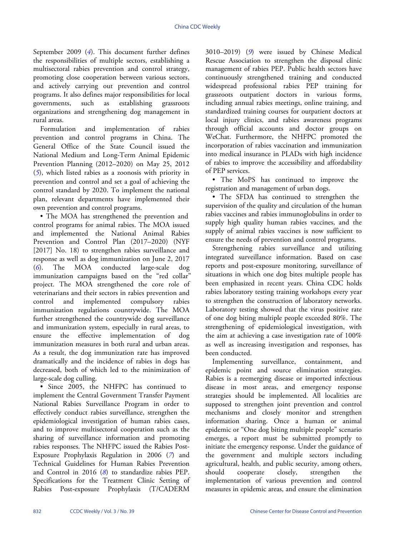September 2009 ([4](#page-3-2)). This document further defines the responsibilities of multiple sectors, establishing a multisectoral rabies prevention and control strategy, promoting close cooperation between various sectors, and actively carrying out prevention and control programs. It also defines major responsibilities for local governments, such as establishing grassroots organizations and strengthening dog management in rural areas.

Formulation and implementation of rabies prevention and control programs in China. The General Office of the State Council issued the National Medium and Long-Term Animal Epidemic Prevention Planning (2012–2020) on May 25, 2012 (*[5](#page-3-3)*), which listed rabies as a zoonosis with priority in prevention and control and set a goal of achieving the control standard by 2020. To implement the national plan, relevant departments have implemented their own prevention and control programs.

• The MOA has strengthened the prevention and control programs for animal rabies. The MOA issued and implemented the National Animal Rabies Prevention and Control Plan (2017–2020) (NYF [2017] No. 18) to strengthen rabies surveillance and response as well as dog immunization on June 2, 2017 (*[6](#page-3-4)*). The MOA conducted large-scale dog immunization campaigns based on the "red collar" project. The MOA strengthened the core role of veterinarians and their sectors in rabies prevention and control and implemented compulsory rabies immunization regulations countrywide. The MOA further strengthened the countrywide dog surveillance and immunization system, especially in rural areas, to ensure the effective implementation of dog immunization measures in both rural and urban areas. As a result, the dog immunization rate has improved dramatically and the incidence of rabies in dogs has decreased, both of which led to the minimization of large-scale dog culling.

• Since 2005, the NHFPC has continued to implement the Central Government Transfer Payment National Rabies Surveillance Program in order to effectively conduct rabies surveillance, strengthen the epidemiological investigation of human rabies cases, and to improve multisectoral cooperation such as the sharing of surveillance information and promoting rabies responses. The NHFPC issued the Rabi[es](#page-3-5) Post-Exposure Prophylaxis Regulation in 2006 (*[7](#page-3-5)*) and Technical Guidelines f[or](#page-3-6) Human Rabies Prevention and Control in 2016 (*[8](#page-3-6)*) to standardize rabies PEP. Specifications for the Treatment Clinic Setting of Rabies Post-exposure Prophylaxis (T/CADERM

3010–2019) (*[9](#page-3-7)*) were issued by Chinese Medical Rescue Association to strengthen the disposal clinic management of rabies PEP. Public health sectors have continuously strengthened training and conducted widespread professional rabies PEP training for grassroots outpatient doctors in various forms, including annual rabies meetings, online training, and standardized training courses for outpatient doctors at local injury clinics, and rabies awareness programs through official accounts and doctor groups on WeChat. Furthermore, the NHFPC promoted the incorporation of rabies vaccination and immunization into medical insurance in PLADs with high incidence of rabies to improve the accessibility and affordability of PEP services.

• The MoPS has continued to improve the registration and management of urban dogs.

• The SFDA has continued to strengthen the supervision of the quality and circulation of the human rabies vaccines and rabies immunoglobulins in order to supply high quality human rabies vaccines, and the supply of animal rabies vaccines is now sufficient to ensure the needs of prevention and control programs.

Strengthening rabies surveillance and utilizing integrated surveillance information. Based on case reports and post-exposure monitoring, surveillance of situations in which one dog bites multiple people has been emphasized in recent years. China CDC holds rabies laboratory testing training workshops every year to strengthen the construction of laboratory networks. Laboratory testing showed that the virus positive rate of one dog biting multiple people exceeded 80%. The strengthening of epidemiological investigation, with the aim at achieving a case investigation rate of 100% as well as increasing investigation and responses, has been conducted.

Implementing surveillance, containment, and epidemic point and source elimination strategies. Rabies is a reemerging disease or imported infectious disease in most areas, and emergency response strategies should be implemented. All localities are supposed to strengthen joint prevention and control mechanisms and closely monitor and strengthen information sharing. Once a human or animal epidemic or "One dog biting multiple people" scenario emerges, a report must be submitted promptly to initiate the emergency response. Under the guidance of the government and multiple sectors including agricultural, health, and public security, among others, should cooperate closely, strengthen the implementation of various prevention and control measures in epidemic areas, and ensure the elimination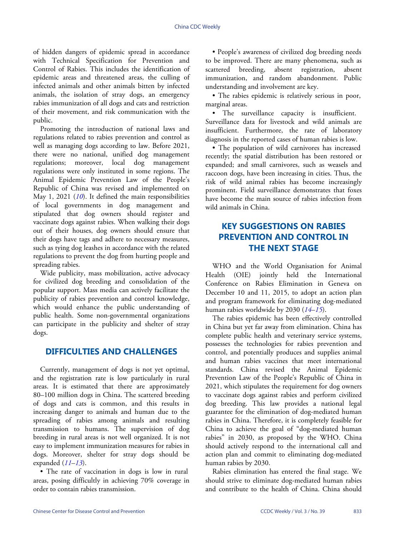of hidden dangers of epidemic spread in accordance with Technical Specification for Prevention and Control of Rabies. This includes the identification of epidemic areas and threatened areas, the culling of infected animals and other animals bitten by infected animals, the isolation of stray dogs, an emergency rabies immunization of all dogs and cats and restriction of their movement, and risk communication with the public.

Promoting the introduction of national laws and regulations related to rabies prevention and control as well as managing dogs according to law. Before 2021, there were no national, unified dog management regulations; moreover, local dog management regulations were only instituted in some regions. The Animal Epidemic Prevention Law of the People's Republic of China was revised and implemented on May 1, 2021 (*[10](#page-3-8)*). It defined the main responsibilities of local governments in dog management and stipulated that dog owners should register and vaccinate dogs against rabies. When walking their dogs out of their houses, dog owners should ensure that their dogs have tags and adhere to necessary measures, such as tying dog leashes in accordance with the related regulations to prevent the dog from hurting people and spreading rabies.

Wide publicity, mass mobilization, active advocacy for civilized dog breeding and consolidation of the popular support. Mass media can actively facilitate the publicity of rabies prevention and control knowledge, which would enhance the public understanding of public health. Some non-governmental organizations can participate in the publicity and shelter of stray dogs.

### **DIFFICULTIES AND CHALLENGES**

Currently, management of dogs is not yet optimal, and the registration rate is low particularly in rural areas. It is estimated that there are approximately 80–100 million dogs in China. The scattered breeding of dogs and cats is common, and this results in increasing danger to animals and human due to the spreading of rabies among animals and resulting transmission to humans. The supervision of dog breeding in rural areas is not well organized. It is not easy to implement immunization measures for rabies in dogs. Mo[reo](#page-3-9)[ver,](#page-3-10) shelter for stray dogs should be expanded (*[11](#page-3-9)*–*[13](#page-3-10)*).

• The rate of vaccination in dogs is low in rural areas, posing difficultly in achieving 70% coverage in order to contain rabies transmission.

• People's awareness of civilized dog breeding needs to be improved. There are many phenomena, such as scattered breeding, absent registration, absent immunization, and random abandonment. Public understanding and involvement are key.

• The rabies epidemic is relatively serious in poor, marginal areas.

• The surveillance capacity is insufficient. Surveillance data for livestock and wild animals are insufficient. Furthermore, the rate of laboratory diagnosis in the reported cases of human rabies is low.

• The population of wild carnivores has increased recently; the spatial distribution has been restored or expanded; and small carnivores, such as weasels and raccoon dogs, have been increasing in cities. Thus, the risk of wild animal rabies has become increasingly prominent. Field surveillance demonstrates that foxes have become the main source of rabies infection from wild animals in China.

## **KEY SUGGESTIONS ON RABIES PREVENTION AND CONTROL IN THE NEXT STAGE**

WHO and the World Organisation for Animal Health (OIE) jointly held the International Conference on Rabies Elimination in Geneva on December 10 and 11, 2015, to adopt an action plan and program framework for eliminating dog-mediated human rabies worldwide by 2030 (*[14](#page-3-11)*–*[15](#page-3-12)*).

The rabies epidemic has been effectively controlled in China but yet far away from elimination. China has complete public health and veterinary service systems, possesses the technologies for rabies prevention and control, and potentially produces and supplies animal and human rabies vaccines that meet international standards. China revised the Animal Epidemic Prevention Law of the People's Republic of China in 2021, which stipulates the requirement for dog owners to vaccinate dogs against rabies and perform civilized dog breeding. This law provides a national legal guarantee for the elimination of dog-mediated human rabies in China. Therefore, it is completely feasible for China to achieve the goal of "dog-mediated human rabies" in 2030, as proposed by the WHO. China should actively respond to the international call and action plan and commit to eliminating dog-mediated human rabies by 2030.

Rabies elimination has entered the final stage. We should strive to eliminate dog-mediated human rabies and contribute to the health of China. China should